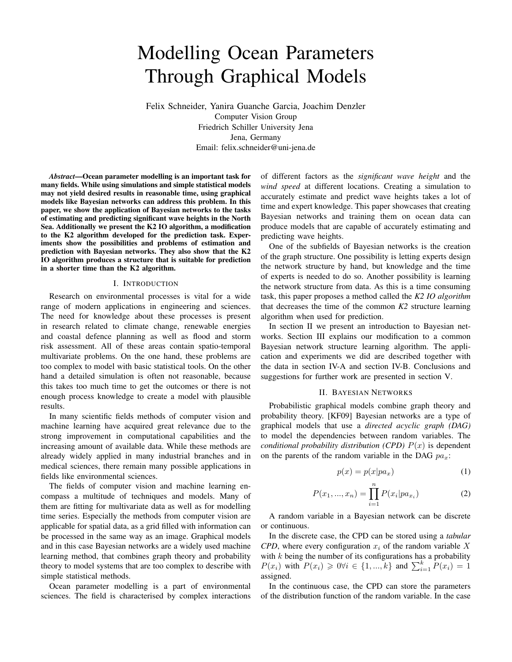# Modelling Ocean Parameters Through Graphical Models

Felix Schneider, Yanira Guanche Garcia, Joachim Denzler Computer Vision Group Friedrich Schiller University Jena Jena, Germany Email: felix.schneider@uni-jena.de

*Abstract*—Ocean parameter modelling is an important task for many fields. While using simulations and simple statistical models may not yield desired results in reasonable time, using graphical models like Bayesian networks can address this problem. In this paper, we show the application of Bayesian networks to the tasks of estimating and predicting significant wave heights in the North Sea. Additionally we present the K2 IO algorithm, a modification to the K2 algorithm developed for the prediction task. Experiments show the possibilities and problems of estimation and prediction with Bayesian networks. They also show that the K2 IO algorithm produces a structure that is suitable for prediction in a shorter time than the K2 algorithm.

#### I. INTRODUCTION

Research on environmental processes is vital for a wide range of modern applications in engineering and sciences. The need for knowledge about these processes is present in research related to climate change, renewable energies and coastal defence planning as well as flood and storm risk assessment. All of these areas contain spatio-temporal multivariate problems. On the one hand, these problems are too complex to model with basic statistical tools. On the other hand a detailed simulation is often not reasonable, because this takes too much time to get the outcomes or there is not enough process knowledge to create a model with plausible results.

In many scientific fields methods of computer vision and machine learning have acquired great relevance due to the strong improvement in computational capabilities and the increasing amount of available data. While these methods are already widely applied in many industrial branches and in medical sciences, there remain many possible applications in fields like environmental sciences.

The fields of computer vision and machine learning encompass a multitude of techniques and models. Many of them are fitting for multivariate data as well as for modelling time series. Especially the methods from computer vision are applicable for spatial data, as a grid filled with information can be processed in the same way as an image. Graphical models and in this case Bayesian networks are a widely used machine learning method, that combines graph theory and probability theory to model systems that are too complex to describe with simple statistical methods.

Ocean parameter modelling is a part of environmental sciences. The field is characterised by complex interactions of different factors as the *significant wave height* and the *wind speed* at different locations. Creating a simulation to accurately estimate and predict wave heights takes a lot of time and expert knowledge. This paper showcases that creating Bayesian networks and training them on ocean data can produce models that are capable of accurately estimating and predicting wave heights.

One of the subfields of Bayesian networks is the creation of the graph structure. One possibility is letting experts design the network structure by hand, but knowledge and the time of experts is needed to do so. Another possibility is learning the network structure from data. As this is a time consuming task, this paper proposes a method called the *K2 IO algorithm* that decreases the time of the common *K2* structure learning algorithm when used for prediction.

In section II we present an introduction to Bayesian networks. Section III explains our modification to a common Bayesian network structure learning algorithm. The application and experiments we did are described together with the data in section IV-A and section IV-B. Conclusions and suggestions for further work are presented in section V.

#### II. BAYESIAN NETWORKS

Probabilistic graphical models combine graph theory and probability theory. [KF09] Bayesian networks are a type of graphical models that use a *directed acyclic graph (DAG)* to model the dependencies between random variables. The *conditional probability distribution (CPD)*  $P(x)$  is dependent on the parents of the random variable in the DAG  $pa_x$ :

$$
p(x) = p(x|pa_x) \tag{1}
$$

$$
P(x_1, ..., x_n) = \prod_{i=1}^{n} P(x_i | pa_{x_i})
$$
 (2)

A random variable in a Bayesian network can be discrete or continuous.

In the discrete case, the CPD can be stored using a *tabular CPD*, where every configuration  $x_i$  of the random variable X with  $k$  being the number of its configurations has a probability  $P(x_i)$  with  $P(x_i) \ge 0 \forall i \in \{1, ..., k\}$  and  $\sum_{i=1}^{k} P(x_i) = 1$ assigned.

In the continuous case, the CPD can store the parameters of the distribution function of the random variable. In the case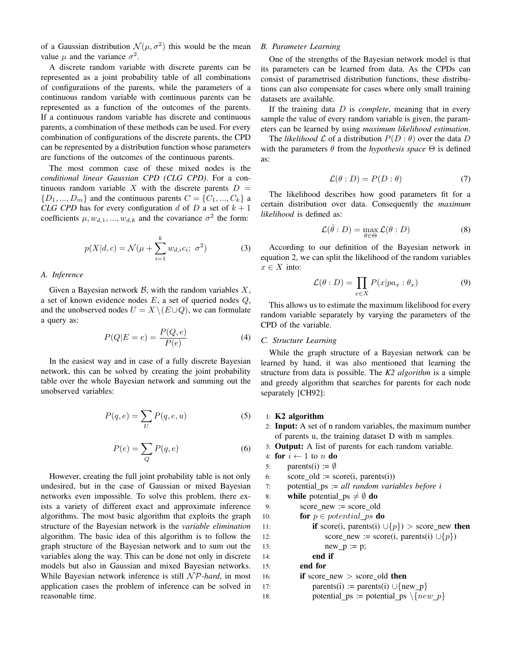of a Gaussian distribution  $\mathcal{N}(\mu, \sigma^2)$  this would be the mean value  $\mu$  and the variance  $\sigma^2$ .

A discrete random variable with discrete parents can be represented as a joint probability table of all combinations of configurations of the parents, while the parameters of a continuous random variable with continuous parents can be represented as a function of the outcomes of the parents. If a continuous random variable has discrete and continuous parents, a combination of these methods can be used. For every combination of configurations of the discrete parents, the CPD can be represented by a distribution function whose parameters are functions of the outcomes of the continuous parents.

The most common case of these mixed nodes is the *conditional linear Gaussian CPD (CLG CPD)*. For a continuous random variable X with the discrete parents  $D =$  ${D_1, ..., D_m}$  and the continuous parents  $C = {C_1, ..., C_k}$  a *CLG CPD* has for every configuration d of D a set of  $k + 1$ coefficients  $\mu, w_{d,1}, ..., w_{d,k}$  and the covariance  $\sigma^2$  the form:

$$
p(X|d,c) = \mathcal{N}(\mu + \sum_{i=1}^{k} w_{d,i} c_i; \sigma^2)
$$
 (3)

## *A. Inference*

Given a Bayesian network  $\mathcal{B}$ , with the random variables  $X$ , a set of known evidence nodes  $E$ , a set of queried nodes  $Q$ , and the unobserved nodes  $U = X \setminus (E \cup Q)$ , we can formulate a query as:

$$
P(Q|E = e) = \frac{P(Q, e)}{P(e)}\tag{4}
$$

In the easiest way and in case of a fully discrete Bayesian network, this can be solved by creating the joint probability table over the whole Bayesian network and summing out the unobserved variables:

$$
P(q,e) = \sum_{U} P(q,e,u)
$$
 (5)

$$
P(e) = \sum_{Q} P(q, e) \tag{6}
$$

However, creating the full joint probability table is not only undesired, but in the case of Gaussian or mixed Bayesian networks even impossible. To solve this problem, there exists a variety of different exact and approximate inference algorithms. The most basic algorithm that exploits the graph structure of the Bayesian network is the *variable elimination* algorithm. The basic idea of this algorithm is to follow the graph structure of the Bayesian network and to sum out the variables along the way. This can be done not only in discrete models but also in Gaussian and mixed Bayesian networks. While Bayesian network inference is still  $N\mathcal{P}$ -hard, in most application cases the problem of inference can be solved in reasonable time.

## *B. Parameter Learning*

One of the strengths of the Bayesian network model is that its parameters can be learned from data. As the CPDs can consist of parametrised distribution functions, these distributions can also compensate for cases where only small training datasets are available.

If the training data D is *complete*, meaning that in every sample the value of every random variable is given, the parameters can be learned by using *maximum likelihood estimation*.

The *likelihood*  $\mathcal L$  of a distribution  $P(D : \theta)$  over the data D with the parameters  $\theta$  from the *hypothesis space*  $\Theta$  is defined as:

$$
\mathcal{L}(\theta : D) = P(D : \theta) \tag{7}
$$

The likelihood describes how good parameters fit for a certain distribution over data. Consequently the *maximum likelihood* is defined as:

$$
\mathcal{L}(\hat{\theta}:D) = \max_{\theta \in \Theta} \mathcal{L}(\theta:D)
$$
 (8)

According to our definition of the Bayesian network in equation 2, we can split the likelihood of the random variables  $x \in X$  into:

$$
\mathcal{L}(\theta : D) = \prod_{x \in X} P(x | pa_x : \theta_x)
$$
 (9)

This allows us to estimate the maximum likelihood for every random variable separately by varying the parameters of the CPD of the variable.

## *C. Structure Learning*

While the graph structure of a Bayesian network can be learned by hand, it was also mentioned that learning the structure from data is possible. The *K2 algorithm* is a simple and greedy algorithm that searches for parents for each node separately [CH92]:

#### 1: K2 algorithm

2: Input: A set of n random variables, the maximum number of parents u, the training dataset D with m samples.

3: Output: A list of parents for each random variable.

4: **for** 
$$
i \leftarrow 1
$$
 to *n* **do**

5: parents(i) :=  $\emptyset$ 6: score old :=  $score(i, parents(i))$ 7: potential ps := *all random variables before i* 8: while potential  $ps \neq \emptyset$  do 9: score\_new := score\_old 10: **for**  $p \in potential$  *ps* **do** 11: **if** score(i, parents(i)  $\cup \{p\}$ ) > score\_new **then** 12: score\_new := score(i, parents(i)  $\cup \{p\}$ ) 13:  $new_p := p$ ; 14: end if 15: end for 16: **if** score new  $>$  score old then 17: parents(i) := parents(i) ∪{new\_p} 18: potential ps := potential ps  $\{new_p\}$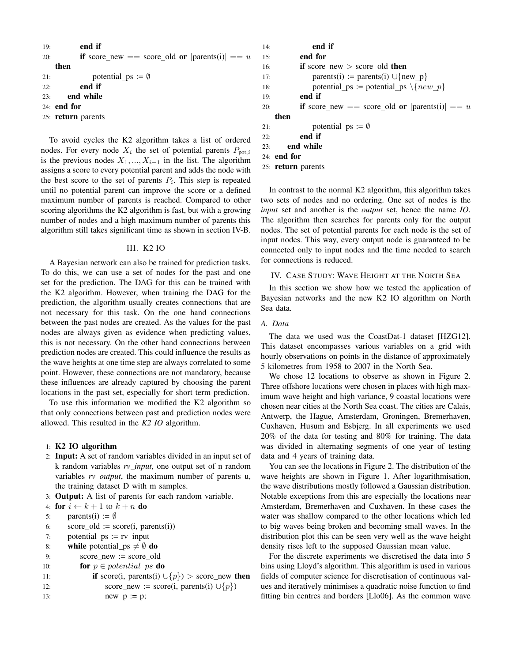| 19: | end if                                                  |
|-----|---------------------------------------------------------|
| 20: | <b>if</b> score_new == score_old or $ parents(i)  == u$ |
|     | then                                                    |
| 21: | potential $ps := \emptyset$                             |
| 22: | end if                                                  |
| 23: | end while                                               |
|     | $24:$ end for                                           |
|     | 25: return parents                                      |

To avoid cycles the K2 algorithm takes a list of ordered nodes. For every node  $X_i$  the set of potential parents  $P_{\text{pot},i}$ is the previous nodes  $X_1, \ldots, X_{i-1}$  in the list. The algorithm assigns a score to every potential parent and adds the node with the best score to the set of parents  $P_i$ . This step is repeated until no potential parent can improve the score or a defined maximum number of parents is reached. Compared to other scoring algorithms the K2 algorithm is fast, but with a growing number of nodes and a high maximum number of parents this algorithm still takes significant time as shown in section IV-B.

### III. K2 IO

A Bayesian network can also be trained for prediction tasks. To do this, we can use a set of nodes for the past and one set for the prediction. The DAG for this can be trained with the K2 algorithm. However, when training the DAG for the prediction, the algorithm usually creates connections that are not necessary for this task. On the one hand connections between the past nodes are created. As the values for the past nodes are always given as evidence when predicting values, this is not necessary. On the other hand connections between prediction nodes are created. This could influence the results as the wave heights at one time step are always correlated to some point. However, these connections are not mandatory, because these influences are already captured by choosing the parent locations in the past set, especially for short term prediction.

To use this information we modified the K2 algorithm so that only connections between past and prediction nodes were allowed. This resulted in the *K2 IO* algorithm.

## 1: K2 IO algorithm

- 2: Input: A set of random variables divided in an input set of k random variables *rv input*, one output set of n random variables *rv output*, the maximum number of parents u, the training dataset D with m samples.
- 3: Output: A list of parents for each random variable.
- 4: for  $i \leftarrow k + 1$  to  $k + n$  do

```
5: parents(i) := \emptyset
```
6: score\_old :=  $score(i, parents(i))$ 

```
7: potential ps := rv input
```
- 8: while potential  $ps \neq \emptyset$  do
- 9: score\_new := score\_old
- 10: **for**  $p \in potential$ *ps* **do**

```
11: if score(i, parents(i) \cup{p}) > score_new then
12: score_new := score(i, parents(i) ∪\{p\})
13: new_p := p;
```

```
14: end if
15: end for
16: if score new > score old then
17: parents(i) := parents(i) ∪{new_p}
18: potential ps := potential ps \{new_p\}19: end if
20: if score new == score old or | \text{parents}(i) | == uthen
21: potential ps := \emptyset22: end if
23: end while
24: end for
```

```
25: return parents
```
In contrast to the normal K2 algorithm, this algorithm takes two sets of nodes and no ordering. One set of nodes is the *input* set and another is the *output* set, hence the name *IO*. The algorithm then searches for parents only for the output nodes. The set of potential parents for each node is the set of input nodes. This way, every output node is guaranteed to be connected only to input nodes and the time needed to search for connections is reduced.

## IV. CASE STUDY: WAVE HEIGHT AT THE NORTH SEA

In this section we show how we tested the application of Bayesian networks and the new K2 IO algorithm on North Sea data.

#### *A. Data*

The data we used was the CoastDat-1 dataset [HZG12]. This dataset encompasses various variables on a grid with hourly observations on points in the distance of approximately 5 kilometres from 1958 to 2007 in the North Sea.

We chose 12 locations to observe as shown in Figure 2. Three offshore locations were chosen in places with high maximum wave height and high variance, 9 coastal locations were chosen near cities at the North Sea coast. The cities are Calais, Antwerp, the Hague, Amsterdam, Groningen, Bremerhaven, Cuxhaven, Husum and Esbjerg. In all experiments we used 20% of the data for testing and 80% for training. The data was divided in alternating segments of one year of testing data and 4 years of training data.

You can see the locations in Figure 2. The distribution of the wave heights are shown in Figure 1. After logarithmisation, the wave distributions mostly followed a Gaussian distribution. Notable exceptions from this are especially the locations near Amsterdam, Bremerhaven and Cuxhaven. In these cases the water was shallow compared to the other locations which led to big waves being broken and becoming small waves. In the distribution plot this can be seen very well as the wave height density rises left to the supposed Gaussian mean value.

For the discrete experiments we discretised the data into 5 bins using Lloyd's algorithm. This algorithm is used in various fields of computer science for discretisation of continuous values and iteratively minimises a quadratic noise function to find fitting bin centres and borders [Llo06]. As the common wave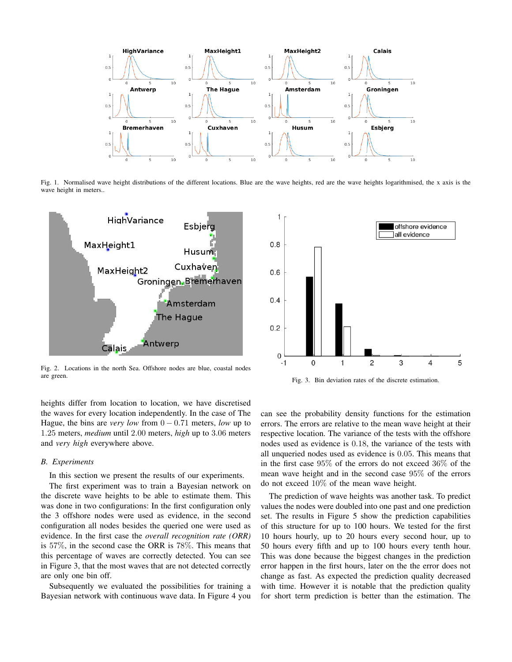

Fig. 1. Normalised wave height distributions of the different locations. Blue are the wave heights, red are the wave heights logarithmised, the x axis is the wave height in meters..



Fig. 2. Locations in the north Sea. Offshore nodes are blue, coastal nodes are green.

heights differ from location to location, we have discretised the waves for every location independently. In the case of The Hague, the bins are *very low* from  $0 - 0.71$  meters, *low* up to 1.25 meters, *medium* until 2.00 meters, *high* up to 3.06 meters and *very high* everywhere above.

#### *B. Experiments*

In this section we present the results of our experiments.

The first experiment was to train a Bayesian network on the discrete wave heights to be able to estimate them. This was done in two configurations: In the first configuration only the 3 offshore nodes were used as evidence, in the second configuration all nodes besides the queried one were used as evidence. In the first case the *overall recognition rate (ORR)* is 57%, in the second case the ORR is 78%. This means that this percentage of waves are correctly detected. You can see in Figure 3, that the most waves that are not detected correctly are only one bin off.

Subsequently we evaluated the possibilities for training a Bayesian network with continuous wave data. In Figure 4 you



Fig. 3. Bin deviation rates of the discrete estimation.

can see the probability density functions for the estimation errors. The errors are relative to the mean wave height at their respective location. The variance of the tests with the offshore nodes used as evidence is 0.18, the variance of the tests with all unqueried nodes used as evidence is 0.05. This means that in the first case 95% of the errors do not exceed 36% of the mean wave height and in the second case 95% of the errors do not exceed 10% of the mean wave height.

The prediction of wave heights was another task. To predict values the nodes were doubled into one past and one prediction set. The results in Figure 5 show the prediction capabilities of this structure for up to 100 hours. We tested for the first 10 hours hourly, up to 20 hours every second hour, up to 50 hours every fifth and up to 100 hours every tenth hour. This was done because the biggest changes in the prediction error happen in the first hours, later on the the error does not change as fast. As expected the prediction quality decreased with time. However it is notable that the prediction quality for short term prediction is better than the estimation. The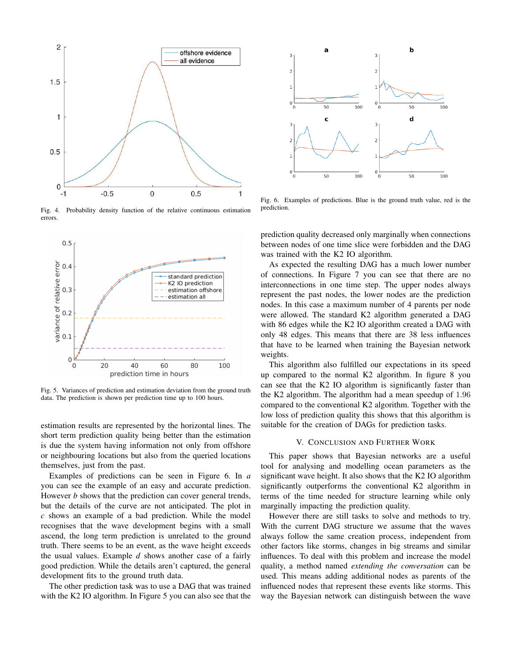

Fig. 4. Probability density function of the relative continuous estimation errors.



Fig. 5. Variances of prediction and estimation deviation from the ground truth data. The prediction is shown per prediction time up to 100 hours.

estimation results are represented by the horizontal lines. The short term prediction quality being better than the estimation is due the system having information not only from offshore or neighbouring locations but also from the queried locations themselves, just from the past.

Examples of predictions can be seen in Figure 6. In *a* you can see the example of an easy and accurate prediction. However *b* shows that the prediction can cover general trends, but the details of the curve are not anticipated. The plot in *c* shows an example of a bad prediction. While the model recognises that the wave development begins with a small ascend, the long term prediction is unrelated to the ground truth. There seems to be an event, as the wave height exceeds the usual values. Example *d* shows another case of a fairly good prediction. While the details aren't captured, the general development fits to the ground truth data.

The other prediction task was to use a DAG that was trained with the K2 IO algorithm. In Figure 5 you can also see that the



Fig. 6. Examples of predictions. Blue is the ground truth value, red is the prediction.

prediction quality decreased only marginally when connections between nodes of one time slice were forbidden and the DAG was trained with the K2 IO algorithm.

As expected the resulting DAG has a much lower number of connections. In Figure 7 you can see that there are no interconnections in one time step. The upper nodes always represent the past nodes, the lower nodes are the prediction nodes. In this case a maximum number of 4 parents per node were allowed. The standard K2 algorithm generated a DAG with 86 edges while the K2 IO algorithm created a DAG with only 48 edges. This means that there are 38 less influences that have to be learned when training the Bayesian network weights.

This algorithm also fulfilled our expectations in its speed up compared to the normal K2 algorithm. In figure 8 you can see that the K2 IO algorithm is significantly faster than the K2 algorithm. The algorithm had a mean speedup of 1.96 compared to the conventional K2 algorithm. Together with the low loss of prediction quality this shows that this algorithm is suitable for the creation of DAGs for prediction tasks.

## V. CONCLUSION AND FURTHER WORK

This paper shows that Bayesian networks are a useful tool for analysing and modelling ocean parameters as the significant wave height. It also shows that the K2 IO algorithm significantly outperforms the conventional K2 algorithm in terms of the time needed for structure learning while only marginally impacting the prediction quality.

However there are still tasks to solve and methods to try. With the current DAG structure we assume that the waves always follow the same creation process, independent from other factors like storms, changes in big streams and similar influences. To deal with this problem and increase the model quality, a method named *extending the conversation* can be used. This means adding additional nodes as parents of the influenced nodes that represent these events like storms. This way the Bayesian network can distinguish between the wave